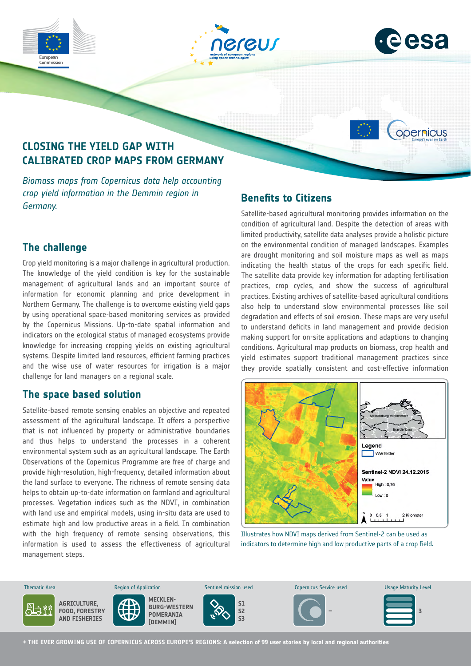





opernicus

# **CLOSING THE YIELD GAP WITH CALIBRATED CROP MAPS FROM GERMANY**

*Biomass maps from Copernicus data help accounting crop yield information in the Demmin region in Germany.*

# **Benefits to Citizens**

## **The challenge**

Crop yield monitoring is a major challenge in agricultural production. The knowledge of the yield condition is key for the sustainable management of agricultural lands and an important source of information for economic planning and price development in Northern Germany. The challenge is to overcome existing yield gaps by using operational space-based monitoring services as provided by the Copernicus Missions. Up-to-date spatial information and indicators on the ecological status of managed ecosystems provide knowledge for increasing cropping yields on existing agricultural systems. Despite limited land resources, efficient farming practices and the wise use of water resources for irrigation is a major challenge for land managers on a regional scale.

## **The space based solution**

Satellite-based remote sensing enables an objective and repeated assessment of the agricultural landscape. It offers a perspective that is not influenced by property or administrative boundaries and thus helps to understand the processes in a coherent environmental system such as an agricultural landscape. The Earth Observations of the Copernicus Programme are free of charge and provide high-resolution, high-frequency, detailed information about the land surface to everyone. The richness of remote sensing data helps to obtain up-to-date information on farmland and agricultural processes. Vegetation indices such as the NDVI, in combination with land use and empirical models, using in-situ data are used to estimate high and low productive areas in a field. In combination with the high frequency of remote sensing observations, this information is used to assess the effectiveness of agricultural management steps.

Satellite-based agricultural monitoring provides information on the condition of agricultural land. Despite the detection of areas with limited productivity, satellite data analyses provide a holistic picture on the environmental condition of managed landscapes. Examples are drought monitoring and soil moisture maps as well as maps indicating the health status of the crops for each specific field. The satellite data provide key information for adapting fertilisation practices, crop cycles, and show the success of agricultural practices. Existing archives of satellite-based agricultural conditions also help to understand slow environmental processes like soil degradation and effects of soil erosion. These maps are very useful to understand deficits in land management and provide decision making support for on-site applications and adaptions to changing conditions. Agricultural map products on biomass, crop health and yield estimates support traditional management practices since they provide spatially consistent and cost-effective information



Illustrates how NDVI maps derived from Sentinel-2 can be used as indicators to determine high and low productive parts of a crop field.